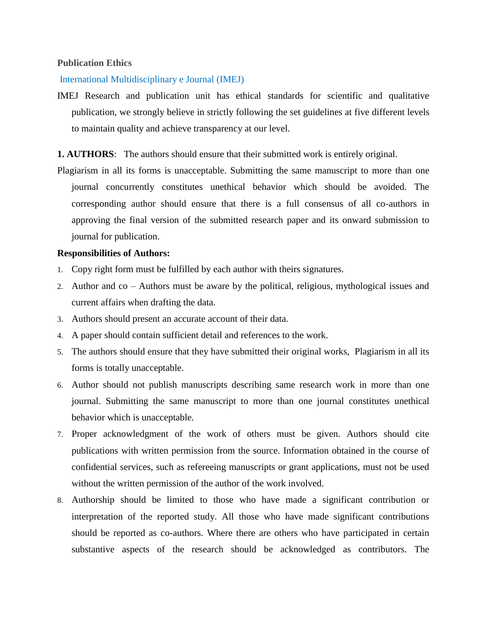# **Publication Ethics**

### International Multidisciplinary e Journal (IMEJ)

- IMEJ Research and publication unit has ethical standards for scientific and qualitative publication, we strongly believe in strictly following the set guidelines at five different levels to maintain quality and achieve transparency at our level.
- **1. AUTHORS**:The authors should ensure that their submitted work is entirely original.
- Plagiarism in all its forms is unacceptable. Submitting the same manuscript to more than one journal concurrently constitutes unethical behavior which should be avoided. The corresponding author should ensure that there is a full consensus of all co-authors in approving the final version of the submitted research paper and its onward submission to journal for publication.

### **Responsibilities of Authors:**

- 1. Copy right form must be fulfilled by each author with theirs signatures.
- 2. Author and co Authors must be aware by the political, religious, mythological issues and current affairs when drafting the data.
- 3. Authors should present an accurate account of their data.
- 4. A paper should contain sufficient detail and references to the work.
- 5. The authors should ensure that they have submitted their original works, Plagiarism in all its forms is totally unacceptable.
- 6. Author should not publish manuscripts describing same research work in more than one journal. Submitting the same manuscript to more than one journal constitutes unethical behavior which is unacceptable.
- 7. Proper acknowledgment of the work of others must be given. Authors should cite publications with written permission from the source. Information obtained in the course of confidential services, such as refereeing manuscripts or grant applications, must not be used without the written permission of the author of the work involved.
- 8. Authorship should be limited to those who have made a significant contribution or interpretation of the reported study. All those who have made significant contributions should be reported as co-authors. Where there are others who have participated in certain substantive aspects of the research should be acknowledged as contributors. The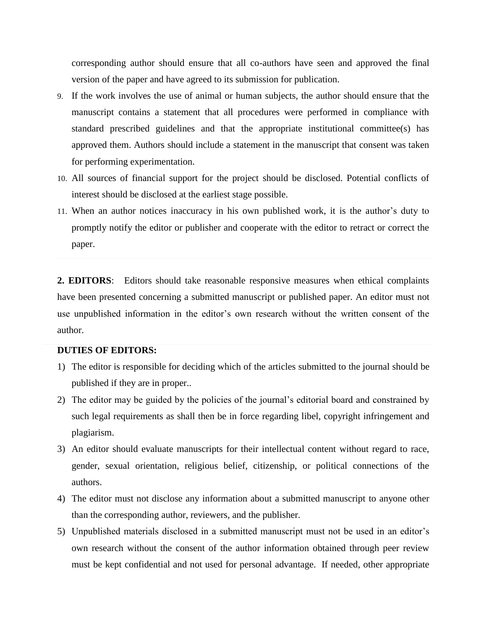corresponding author should ensure that all co-authors have seen and approved the final version of the paper and have agreed to its submission for publication.

- 9. If the work involves the use of animal or human subjects, the author should ensure that the manuscript contains a statement that all procedures were performed in compliance with standard prescribed guidelines and that the appropriate institutional committee(s) has approved them. Authors should include a statement in the manuscript that consent was taken for performing experimentation.
- 10. All sources of financial support for the project should be disclosed. Potential conflicts of interest should be disclosed at the earliest stage possible.
- 11. When an author notices inaccuracy in his own published work, it is the author's duty to promptly notify the editor or publisher and cooperate with the editor to retract or correct the paper.

**2. EDITORS**: Editors should take reasonable responsive measures when ethical complaints have been presented concerning a submitted manuscript or published paper. An editor must not use unpublished information in the editor's own research without the written consent of the author.

# **DUTIES OF EDITORS:**

- 1) The editor is responsible for deciding which of the articles submitted to the journal should be published if they are in proper..
- 2) The editor may be guided by the policies of the journal's editorial board and constrained by such legal requirements as shall then be in force regarding libel, copyright infringement and plagiarism.
- 3) An editor should evaluate manuscripts for their intellectual content without regard to race, gender, sexual orientation, religious belief, citizenship, or political connections of the authors.
- 4) The editor must not disclose any information about a submitted manuscript to anyone other than the corresponding author, reviewers, and the publisher.
- 5) Unpublished materials disclosed in a submitted manuscript must not be used in an editor's own research without the consent of the author information obtained through peer review must be kept confidential and not used for personal advantage. If needed, other appropriate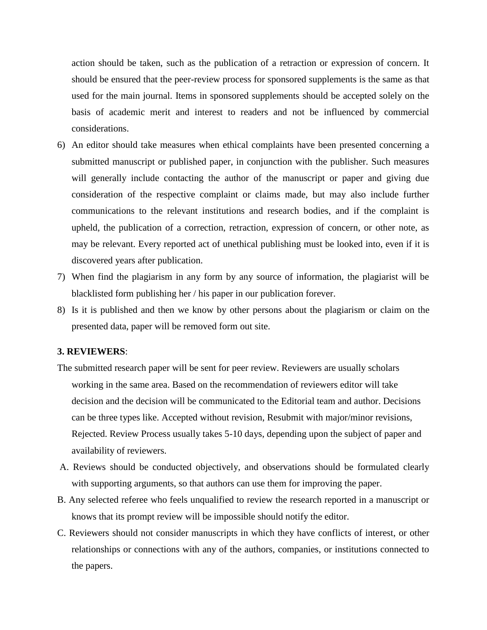action should be taken, such as the publication of a retraction or expression of concern. It should be ensured that the peer-review process for sponsored supplements is the same as that used for the main journal. Items in sponsored supplements should be accepted solely on the basis of academic merit and interest to readers and not be influenced by commercial considerations.

- 6) An editor should take measures when ethical complaints have been presented concerning a submitted manuscript or published paper, in conjunction with the publisher. Such measures will generally include contacting the author of the manuscript or paper and giving due consideration of the respective complaint or claims made, but may also include further communications to the relevant institutions and research bodies, and if the complaint is upheld, the publication of a correction, retraction, expression of concern, or other note, as may be relevant. Every reported act of unethical publishing must be looked into, even if it is discovered years after publication.
- 7) When find the plagiarism in any form by any source of information, the plagiarist will be blacklisted form publishing her / his paper in our publication forever.
- 8) Is it is published and then we know by other persons about the plagiarism or claim on the presented data, paper will be removed form out site.

# **3. REVIEWERS**:

- The submitted research paper will be sent for peer review. Reviewers are usually scholars working in the same area. Based on the recommendation of reviewers editor will take decision and the decision will be communicated to the Editorial team and author. Decisions can be three types like. Accepted without revision, Resubmit with major/minor revisions, Rejected. Review Process usually takes 5-10 days, depending upon the subject of paper and availability of reviewers.
- A. Reviews should be conducted objectively, and observations should be formulated clearly with supporting arguments, so that authors can use them for improving the paper.
- B. Any selected referee who feels unqualified to review the research reported in a manuscript or knows that its prompt review will be impossible should notify the editor.
- C. Reviewers should not consider manuscripts in which they have conflicts of interest, or other relationships or connections with any of the authors, companies, or institutions connected to the papers.